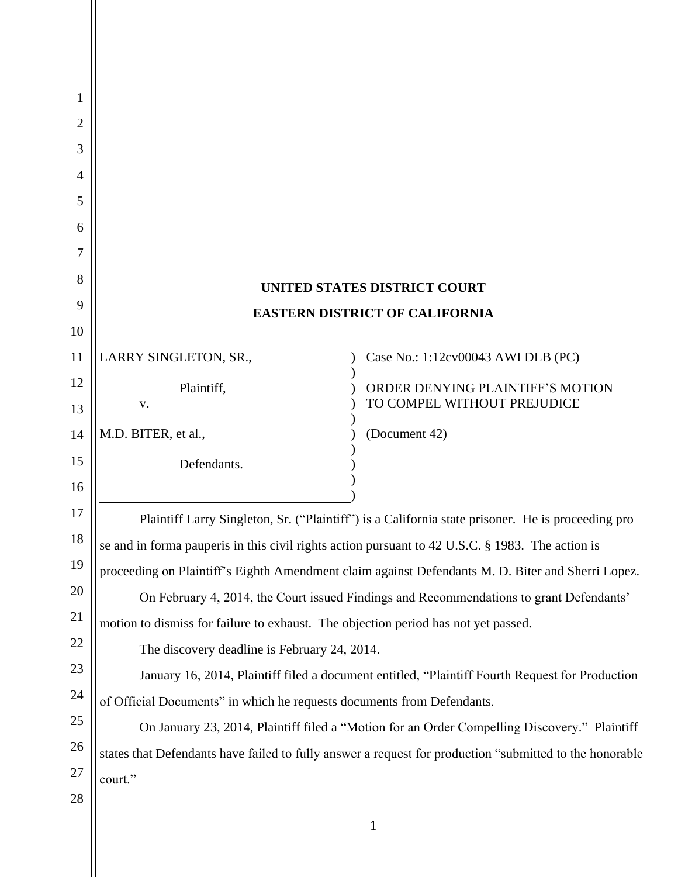| 1  |                                                                                                         |                                    |
|----|---------------------------------------------------------------------------------------------------------|------------------------------------|
| 2  |                                                                                                         |                                    |
| 3  |                                                                                                         |                                    |
| 4  |                                                                                                         |                                    |
| 5  |                                                                                                         |                                    |
| 6  |                                                                                                         |                                    |
| 7  |                                                                                                         |                                    |
| 8  | UNITED STATES DISTRICT COURT                                                                            |                                    |
| 9  | <b>EASTERN DISTRICT OF CALIFORNIA</b>                                                                   |                                    |
| 10 |                                                                                                         |                                    |
| 11 | LARRY SINGLETON, SR.,                                                                                   | Case No.: 1:12cv00043 AWI DLB (PC) |
| 12 | Plaintiff,                                                                                              | ORDER DENYING PLAINTIFF'S MOTION   |
| 13 | V.                                                                                                      | TO COMPEL WITHOUT PREJUDICE        |
| 14 | M.D. BITER, et al.,                                                                                     | (Document 42)                      |
| 15 | Defendants.                                                                                             |                                    |
| 16 |                                                                                                         |                                    |
| 17 | Plaintiff Larry Singleton, Sr. ("Plaintiff") is a California state prisoner. He is proceeding pro       |                                    |
| 18 | se and in forma pauperis in this civil rights action pursuant to 42 U.S.C. § 1983. The action is        |                                    |
| 19 | proceeding on Plaintiff's Eighth Amendment claim against Defendants M. D. Biter and Sherri Lopez.       |                                    |
| 20 | On February 4, 2014, the Court issued Findings and Recommendations to grant Defendants'                 |                                    |
| 21 | motion to dismiss for failure to exhaust. The objection period has not yet passed.                      |                                    |
| 22 | The discovery deadline is February 24, 2014.                                                            |                                    |
| 23 | January 16, 2014, Plaintiff filed a document entitled, "Plaintiff Fourth Request for Production         |                                    |
| 24 | of Official Documents" in which he requests documents from Defendants.                                  |                                    |
| 25 | On January 23, 2014, Plaintiff filed a "Motion for an Order Compelling Discovery." Plaintiff            |                                    |
| 26 | states that Defendants have failed to fully answer a request for production "submitted to the honorable |                                    |
| 27 | court."                                                                                                 |                                    |
| 28 |                                                                                                         |                                    |
|    |                                                                                                         | $\mathbf{1}$                       |